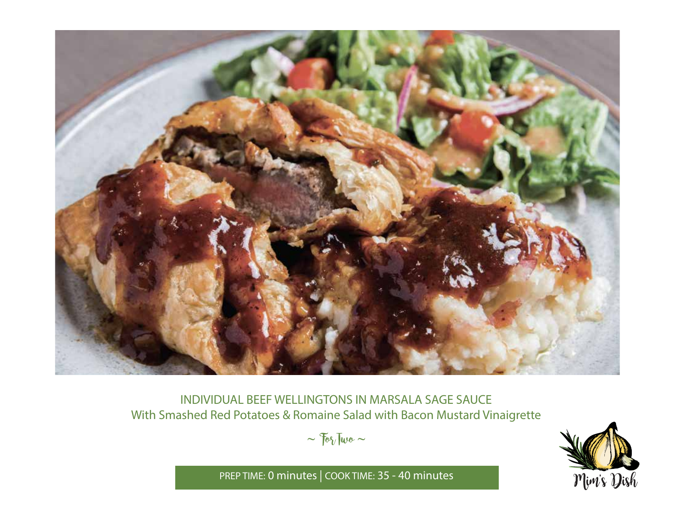

INDIVIDUAL BEEF WELLINGTONS IN MARSALA SAGE SAUCE With Smashed Red Potatoes & Romaine Salad with Bacon Mustard Vinaigrette

 $\sim$   $70\%$  Two  $\sim$ 



PREP TIME: **0 minutes** | COOK TIME: **35 - 40 minutes**